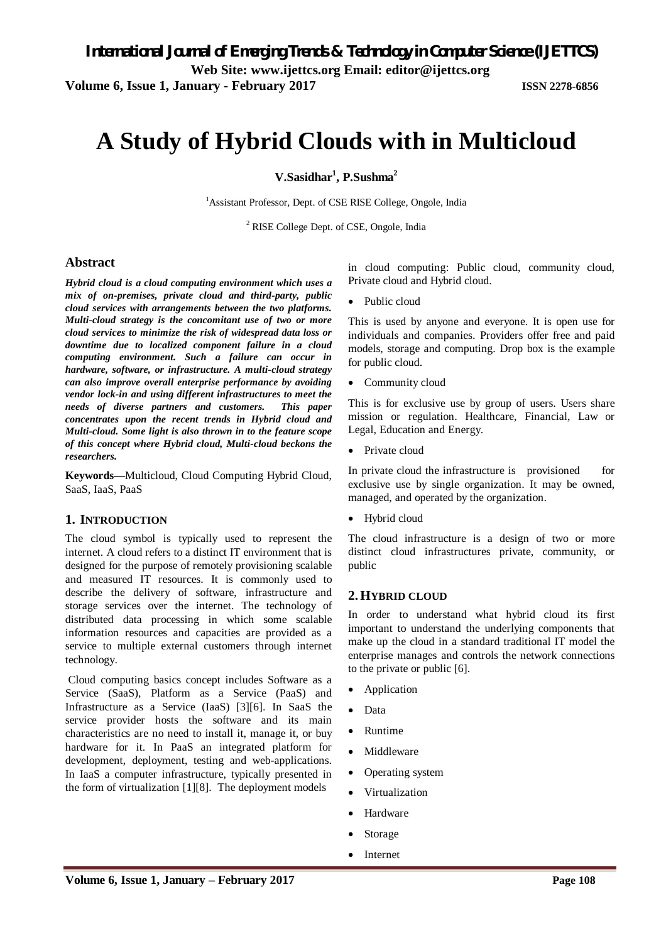**Volume 6, Issue 1, January - February 2017 ISSN 2278-6856**

# **A Study of Hybrid Clouds with in Multicloud**

**V.Sasidhar<sup>1</sup> , P.Sushma 2**

<sup>1</sup>Assistant Professor, Dept. of CSE RISE College, Ongole, India

<sup>2</sup> RISE College Dept. of CSE, Ongole, India

# **Abstract**

*Hybrid cloud is a cloud computing environment which uses a mix of on-premises, private cloud and third-party, public cloud services with arrangements between the two platforms. Multi-cloud strategy is the concomitant use of two or more cloud services to minimize the risk of widespread data loss or downtime due to localized component failure in a cloud computing environment. Such a failure can occur in hardware, software, or infrastructure. A multi-cloud strategy can also improve overall enterprise performance by avoiding vendor lock-in and using different infrastructures to meet the needs of diverse partners and customers. This paper concentrates upon the recent trends in Hybrid cloud and Multi-cloud. Some light is also thrown in to the feature scope of this concept where Hybrid cloud, Multi-cloud beckons the researchers.* 

**Keywords—**Multicloud, Cloud Computing Hybrid Cloud, SaaS, IaaS, PaaS

# **1. INTRODUCTION**

The cloud symbol is typically used to represent the internet. A cloud refers to a distinct IT environment that is designed for the purpose of remotely provisioning scalable and measured IT resources. It is commonly used to describe the delivery of software, infrastructure and storage services over the internet. The technology of distributed data processing in which some scalable information resources and capacities are provided as a service to multiple external customers through internet technology.

Cloud computing basics concept includes Software as a Service (SaaS), Platform as a Service (PaaS) and Infrastructure as a Service (IaaS) [3][6]. In SaaS the service provider hosts the software and its main characteristics are no need to install it, manage it, or buy hardware for it. In PaaS an integrated platform for development, deployment, testing and web-applications. In IaaS a computer infrastructure, typically presented in the form of virtualization [1][8]. The deployment models

in cloud computing: Public cloud, community cloud, Private cloud and Hybrid cloud.

Public cloud

This is used by anyone and everyone. It is open use for individuals and companies. Providers offer free and paid models, storage and computing. Drop box is the example for public cloud.

• Community cloud

This is for exclusive use by group of users. Users share mission or regulation. Healthcare, Financial, Law or Legal, Education and Energy.

• Private cloud

In private cloud the infrastructure is provisioned for exclusive use by single organization. It may be owned, managed, and operated by the organization.

Hybrid cloud

The cloud infrastructure is a design of two or more distinct cloud infrastructures private, community, or public

# **2.HYBRID CLOUD**

In order to understand what hybrid cloud its first important to understand the underlying components that make up the cloud in a standard traditional IT model the enterprise manages and controls the network connections to the private or public [6].

- Application
- Data
- Runtime
- Middleware
- Operating system
- Virtualization
- Hardware
- Storage
- Internet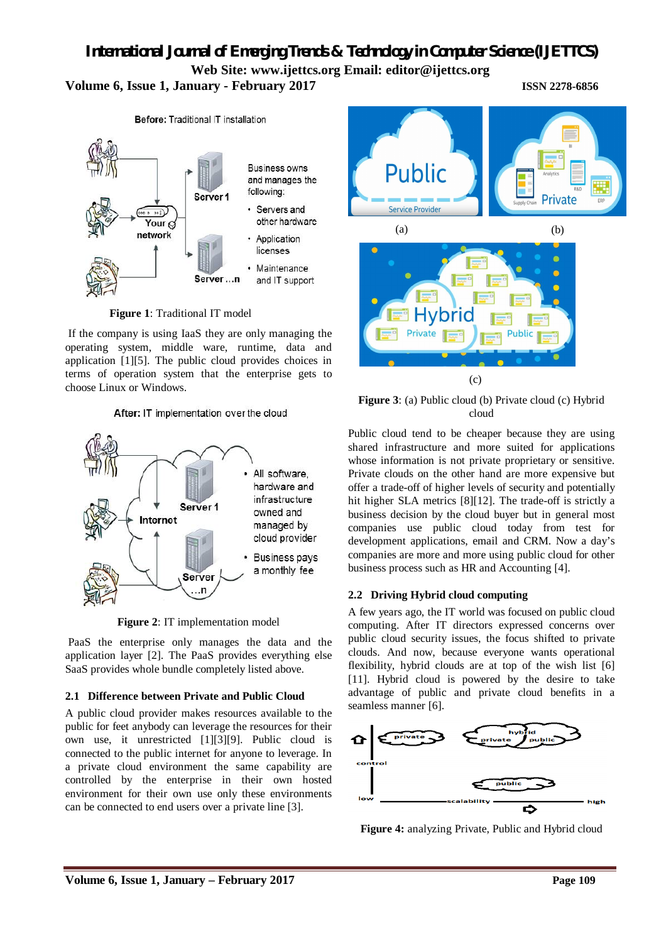# *International Journal of Emerging Trends & Technology in Computer Science (IJETTCS)* **Web Site: www.ijettcs.org Email: [editor@ijettcs.org](mailto:editor@ijettcs.org) Volume 6, Issue 1, January - February 2017 ISSN 2278-6856**



 **Figure 1**: Traditional IT model

If the company is using IaaS they are only managing the operating system, middle ware, runtime, data and application [1][5]. The public cloud provides choices in terms of operation system that the enterprise gets to choose Linux or Windows.

After: IT implementation over the cloud



**Figure 2**: IT implementation model

PaaS the enterprise only manages the data and the application layer [2]. The PaaS provides everything else SaaS provides whole bundle completely listed above.

# **2.1 Difference between Private and Public Cloud**

A public cloud provider makes resources available to the public for feet anybody can leverage the resources for their own use, it unrestricted [1][3][9]. Public cloud is connected to the public internet for anyone to leverage. In a private cloud environment the same capability are controlled by the enterprise in their own hosted environment for their own use only these environments can be connected to end users over a private line [3].



**Figure 3**: (a) Public cloud (b) Private cloud (c) Hybrid cloud

Public cloud tend to be cheaper because they are using shared infrastructure and more suited for applications whose information is not private proprietary or sensitive. Private clouds on the other hand are more expensive but offer a trade-off of higher levels of security and potentially hit higher SLA metrics [8][12]. The trade-off is strictly a business decision by the cloud buyer but in general most companies use public cloud today from test for development applications, email and CRM. Now a day's companies are more and more using public cloud for other business process such as HR and Accounting [4].

# **2.2 Driving Hybrid cloud computing**

A few years ago, the IT world was focused on public cloud computing. After IT directors expressed concerns over public cloud security issues, the focus shifted to private clouds. And now, because everyone wants operational flexibility, hybrid clouds are at top of the wish list [6] [11]. Hybrid cloud is powered by the desire to take advantage of public and private cloud benefits in a seamless manner [6].



**Figure 4:** analyzing Private, Public and Hybrid cloud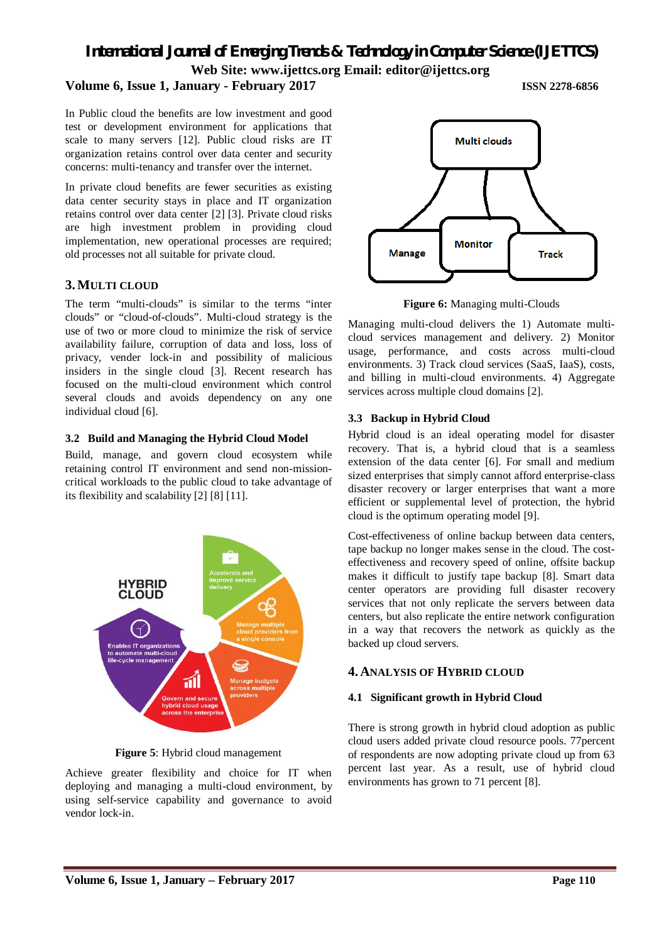*International Journal of Emerging Trends & Technology in Computer Science (IJETTCS)* **Web Site: www.ijettcs.org Email: [editor@ijettcs.org](mailto:editor@ijettcs.org)** 

### **Volume 6, Issue 1, January - February 2017 ISSN 2278-6856**

In Public cloud the benefits are low investment and good test or development environment for applications that scale to many servers [12]. Public cloud risks are IT organization retains control over data center and security concerns: multi-tenancy and transfer over the internet.

In private cloud benefits are fewer securities as existing data center security stays in place and IT organization retains control over data center [2] [3]. Private cloud risks are high investment problem in providing cloud implementation, new operational processes are required; old processes not all suitable for private cloud.

#### **3.MULTI CLOUD**

The term "multi-clouds" is similar to the terms "inter clouds" or "cloud-of-clouds". Multi-cloud strategy is the use of two or more cloud to minimize the risk of service availability failure, corruption of data and loss, loss of privacy, vender lock-in and possibility of malicious insiders in the single cloud [3]. Recent research has focused on the multi-cloud environment which control several clouds and avoids dependency on any one individual cloud [6].

#### **3.2 Build and Managing the Hybrid Cloud Model**

Build, manage, and govern cloud ecosystem while retaining control IT environment and send non-missioncritical workloads to the public cloud to take advantage of its flexibility and scalability [2] [8] [11].



**Figure 5**: Hybrid cloud management

Achieve greater flexibility and choice for IT when deploying and managing a multi-cloud environment, by using self-service capability and governance to avoid vendor lock-in.



**Figure 6:** Managing multi-Clouds

Managing multi-cloud delivers the 1) Automate multicloud services management and delivery. 2) Monitor usage, performance, and costs across multi-cloud environments. 3) Track cloud services (SaaS, IaaS), costs, and billing in multi-cloud environments. 4) Aggregate services across multiple cloud domains [2].

#### **3.3 Backup in Hybrid Cloud**

Hybrid cloud is an ideal operating model for disaster recovery. That is, a hybrid cloud that is a seamless extension of the data center [6]. For small and medium sized enterprises that simply cannot afford enterprise-class disaster recovery or larger enterprises that want a more efficient or supplemental level of protection, the hybrid cloud is the optimum operating model [9].

Cost-effectiveness of online backup between data centers, tape backup no longer makes sense in the cloud. The costeffectiveness and recovery speed of online, offsite backup makes it difficult to justify tape backup [8]. Smart data center operators are providing full disaster recovery services that not only replicate the servers between data centers, but also replicate the entire network configuration in a way that recovers the network as quickly as the backed up cloud servers.

# **4. ANALYSIS OF HYBRID CLOUD**

#### **4.1 Significant growth in Hybrid Cloud**

There is strong growth in hybrid cloud adoption as public cloud users added private cloud resource pools. 77percent of respondents are now adopting private cloud up from 63 percent last year. As a result, use of hybrid cloud environments has grown to 71 percent [8].